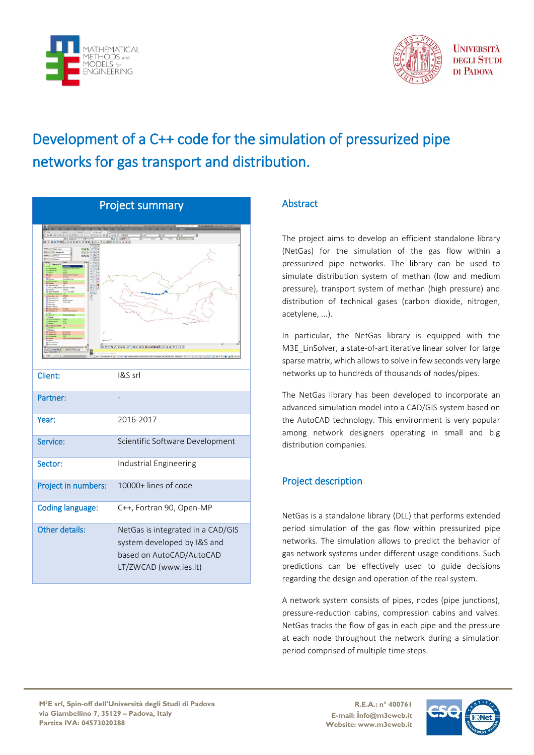



**UNIVERSITÀ DEGLI STUDI** DI PADOVA

## Development of a C++ code for the simulation of pressurized pipe networks for gas transport and distribution.

| <b>Project summary</b>  |                                                                                                                       |
|-------------------------|-----------------------------------------------------------------------------------------------------------------------|
| $\overline{A}$<br>×     |                                                                                                                       |
| Client:                 | I&S srl                                                                                                               |
| Partner:                |                                                                                                                       |
| Year:                   | 2016-2017                                                                                                             |
| Service:                | Scientific Software Development                                                                                       |
| Sector:                 | Industrial Engineering                                                                                                |
| Project in numbers:     | 10000+ lines of code                                                                                                  |
| <b>Coding language:</b> | C++, Fortran 90, Open-MP                                                                                              |
| Other details:          | NetGas is integrated in a CAD/GIS<br>system developed by I&S and<br>based on AutoCAD/AutoCAD<br>LT/ZWCAD (www.ies.it) |

## **Abstract**

The project aims to develop an efficient standalone library (NetGas) for the simulation of the gas flow within a pressurized pipe networks. The library can be used to simulate distribution system of methan (low and medium pressure), transport system of methan (high pressure) and distribution of technical gases (carbon dioxide, nitrogen, acetylene, ...).

In particular, the NetGas library is equipped with the M3E\_LinSolver, a state-of-art iterative linear solver for large sparse matrix, which allows to solve in few seconds very large networks up to hundreds of thousands of nodes/pipes.

The NetGas library has been developed to incorporate an advanced simulation model into a CAD/GIS system based on the AutoCAD technology. This environment is very popular among network designers operating in small and big distribution companies.

## Project description

NetGas is a standalone library (DLL) that performs extended period simulation of the gas flow within pressurized pipe networks. The simulation allows to predict the behavior of gas network systems under different usage conditions. Such predictions can be effectively used to guide decisions regarding the design and operation of the real system.

A network system consists of pipes, nodes (pipe junctions), pressure-reduction cabins, compression cabins and valves. NetGas tracks the flow of gas in each pipe and the pressure at each node throughout the network during a simulation period comprised of multiple time steps.